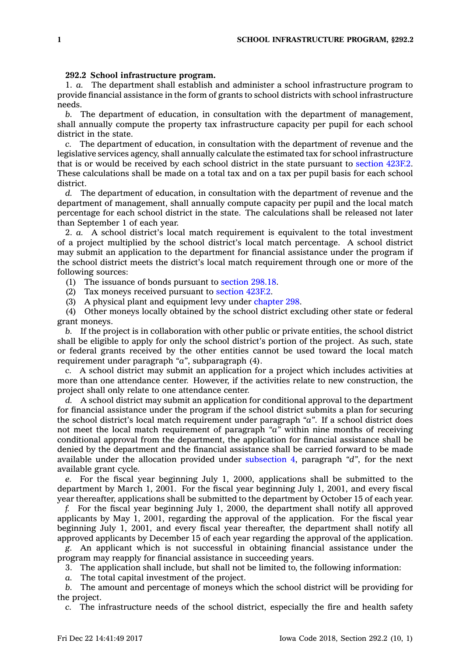## **292.2 School infrastructure program.**

1. *a.* The department shall establish and administer <sup>a</sup> school infrastructure program to provide financial assistance in the form of grants to school districts with school infrastructure needs.

*b.* The department of education, in consultation with the department of management, shall annually compute the property tax infrastructure capacity per pupil for each school district in the state.

*c.* The department of education, in consultation with the department of revenue and the legislative services agency, shall annually calculate the estimated tax for school infrastructure that is or would be received by each school district in the state pursuant to [section](https://www.legis.iowa.gov/docs/code/423F.2.pdf) 423F.2. These calculations shall be made on <sup>a</sup> total tax and on <sup>a</sup> tax per pupil basis for each school district.

*d.* The department of education, in consultation with the department of revenue and the department of management, shall annually compute capacity per pupil and the local match percentage for each school district in the state. The calculations shall be released not later than September 1 of each year.

2. *a.* A school district's local match requirement is equivalent to the total investment of <sup>a</sup> project multiplied by the school district's local match percentage. A school district may submit an application to the department for financial assistance under the program if the school district meets the district's local match requirement through one or more of the following sources:

(1) The issuance of bonds pursuant to [section](https://www.legis.iowa.gov/docs/code/298.18.pdf) 298.18.

(2) Tax moneys received pursuant to [section](https://www.legis.iowa.gov/docs/code/423F.2.pdf) 423F.2.

(3) A physical plant and equipment levy under [chapter](https://www.legis.iowa.gov/docs/code//298.pdf) 298.

(4) Other moneys locally obtained by the school district excluding other state or federal grant moneys.

*b.* If the project is in collaboration with other public or private entities, the school district shall be eligible to apply for only the school district's portion of the project. As such, state or federal grants received by the other entities cannot be used toward the local match requirement under paragraph *"a"*, subparagraph (4).

*c.* A school district may submit an application for <sup>a</sup> project which includes activities at more than one attendance center. However, if the activities relate to new construction, the project shall only relate to one attendance center.

*d.* A school district may submit an application for conditional approval to the department for financial assistance under the program if the school district submits <sup>a</sup> plan for securing the school district's local match requirement under paragraph *"a"*. If <sup>a</sup> school district does not meet the local match requirement of paragraph *"a"* within nine months of receiving conditional approval from the department, the application for financial assistance shall be denied by the department and the financial assistance shall be carried forward to be made available under the allocation provided under [subsection](https://www.legis.iowa.gov/docs/code/292.2.pdf) 4, paragraph *"d"*, for the next available grant cycle.

*e.* For the fiscal year beginning July 1, 2000, applications shall be submitted to the department by March 1, 2001. For the fiscal year beginning July 1, 2001, and every fiscal year thereafter, applications shall be submitted to the department by October 15 of each year.

*f.* For the fiscal year beginning July 1, 2000, the department shall notify all approved applicants by May 1, 2001, regarding the approval of the application. For the fiscal year beginning July 1, 2001, and every fiscal year thereafter, the department shall notify all approved applicants by December 15 of each year regarding the approval of the application.

*g.* An applicant which is not successful in obtaining financial assistance under the program may reapply for financial assistance in succeeding years.

3. The application shall include, but shall not be limited to, the following information:

*a.* The total capital investment of the project.

*b.* The amount and percentage of moneys which the school district will be providing for the project.

*c.* The infrastructure needs of the school district, especially the fire and health safety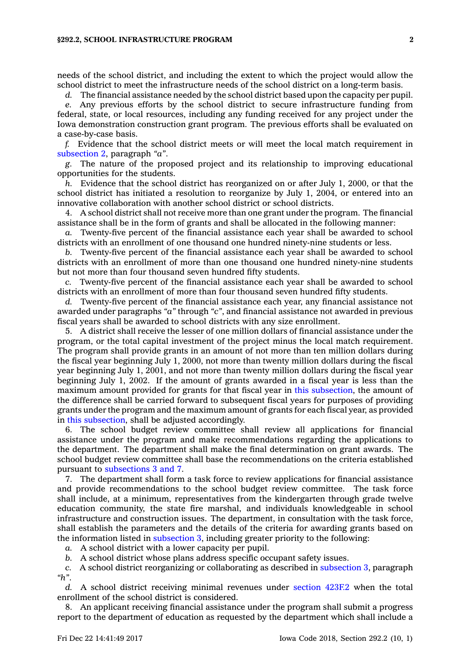## **§292.2, SCHOOL INFRASTRUCTURE PROGRAM 2**

needs of the school district, and including the extent to which the project would allow the school district to meet the infrastructure needs of the school district on <sup>a</sup> long-term basis.

*d.* The financial assistance needed by the school district based upon the capacity per pupil.

*e.* Any previous efforts by the school district to secure infrastructure funding from federal, state, or local resources, including any funding received for any project under the Iowa demonstration construction grant program. The previous efforts shall be evaluated on <sup>a</sup> case-by-case basis.

*f.* Evidence that the school district meets or will meet the local match requirement in [subsection](https://www.legis.iowa.gov/docs/code/292.2.pdf) 2, paragraph *"a"*.

*g.* The nature of the proposed project and its relationship to improving educational opportunities for the students.

*h.* Evidence that the school district has reorganized on or after July 1, 2000, or that the school district has initiated <sup>a</sup> resolution to reorganize by July 1, 2004, or entered into an innovative collaboration with another school district or school districts.

4. A school district shall not receive more than one grant under the program. The financial assistance shall be in the form of grants and shall be allocated in the following manner:

*a.* Twenty-five percent of the financial assistance each year shall be awarded to school districts with an enrollment of one thousand one hundred ninety-nine students or less.

*b.* Twenty-five percent of the financial assistance each year shall be awarded to school districts with an enrollment of more than one thousand one hundred ninety-nine students but not more than four thousand seven hundred fifty students.

*c.* Twenty-five percent of the financial assistance each year shall be awarded to school districts with an enrollment of more than four thousand seven hundred fifty students.

*d.* Twenty-five percent of the financial assistance each year, any financial assistance not awarded under paragraphs *"a"* through *"c"*, and financial assistance not awarded in previous fiscal years shall be awarded to school districts with any size enrollment.

5. A district shall receive the lesser of one million dollars of financial assistance under the program, or the total capital investment of the project minus the local match requirement. The program shall provide grants in an amount of not more than ten million dollars during the fiscal year beginning July 1, 2000, not more than twenty million dollars during the fiscal year beginning July 1, 2001, and not more than twenty million dollars during the fiscal year beginning July 1, 2002. If the amount of grants awarded in <sup>a</sup> fiscal year is less than the maximum amount provided for grants for that fiscal year in this [subsection](https://www.legis.iowa.gov/docs/code/292.2.pdf), the amount of the difference shall be carried forward to subsequent fiscal years for purposes of providing grants under the program and the maximum amount of grants for each fiscal year, as provided in this [subsection](https://www.legis.iowa.gov/docs/code/292.2.pdf), shall be adjusted accordingly.

6. The school budget review committee shall review all applications for financial assistance under the program and make recommendations regarding the applications to the department. The department shall make the final determination on grant awards. The school budget review committee shall base the recommendations on the criteria established pursuant to [subsections](https://www.legis.iowa.gov/docs/code/292.2.pdf) 3 and 7.

7. The department shall form <sup>a</sup> task force to review applications for financial assistance and provide recommendations to the school budget review committee. The task force shall include, at <sup>a</sup> minimum, representatives from the kindergarten through grade twelve education community, the state fire marshal, and individuals knowledgeable in school infrastructure and construction issues. The department, in consultation with the task force, shall establish the parameters and the details of the criteria for awarding grants based on the information listed in [subsection](https://www.legis.iowa.gov/docs/code/292.2.pdf) 3, including greater priority to the following:

*a.* A school district with <sup>a</sup> lower capacity per pupil.

*b.* A school district whose plans address specific occupant safety issues.

*c.* A school district reorganizing or collaborating as described in [subsection](https://www.legis.iowa.gov/docs/code/292.2.pdf) 3, paragraph *"h"*.

*d.* A school district receiving minimal revenues under [section](https://www.legis.iowa.gov/docs/code/423F.2.pdf) 423F.2 when the total enrollment of the school district is considered.

8. An applicant receiving financial assistance under the program shall submit <sup>a</sup> progress report to the department of education as requested by the department which shall include <sup>a</sup>